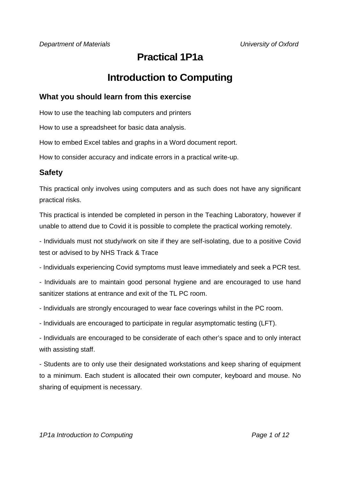# **Practical 1P1a**

# **Introduction to Computing**

### **What you should learn from this exercise**

How to use the teaching lab computers and printers

How to use a spreadsheet for basic data analysis.

How to embed Excel tables and graphs in a Word document report.

How to consider accuracy and indicate errors in a practical write-up.

### **Safety**

This practical only involves using computers and as such does not have any significant practical risks.

This practical is intended be completed in person in the Teaching Laboratory, however if unable to attend due to Covid it is possible to complete the practical working remotely.

- Individuals must not study/work on site if they are self-isolating, due to a positive Covid test or advised to by NHS Track & Trace

- Individuals experiencing Covid symptoms must leave immediately and seek a PCR test.

- Individuals are to maintain good personal hygiene and are encouraged to use hand sanitizer stations at entrance and exit of the TL PC room.

- Individuals are strongly encouraged to wear face coverings whilst in the PC room.

- Individuals are encouraged to participate in regular asymptomatic testing (LFT).

- Individuals are encouraged to be considerate of each other's space and to only interact with assisting staff.

- Students are to only use their designated workstations and keep sharing of equipment to a minimum. Each student is allocated their own computer, keyboard and mouse. No sharing of equipment is necessary.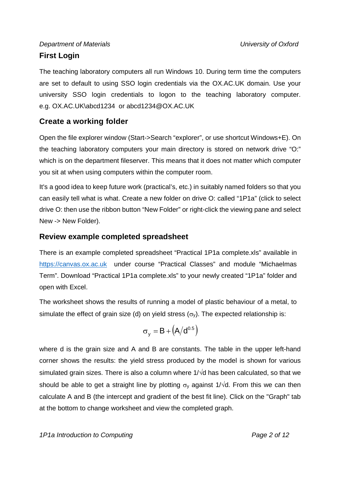# *Department of Materials University of Oxford*  **First Login**

The teaching laboratory computers all run Windows 10. During term time the computers are set to default to using SSO login credentials via the OX.AC.UK domain. Use your university SSO login credentials to logon to the teaching laboratory computer. e.g. OX.AC.UK\abcd1234 or abcd1234@OX.AC.UK

## **Create a working folder**

Open the file explorer window (Start->Search "explorer", or use shortcut Windows+E). On the teaching laboratory computers your main directory is stored on network drive "O:" which is on the department fileserver. This means that it does not matter which computer you sit at when using computers within the computer room.

It's a good idea to keep future work (practical's, etc.) in suitably named folders so that you can easily tell what is what. Create a new folder on drive O: called "1P1a" (click to select drive O: then use the ribbon button "New Folder" or right-click the viewing pane and select New -> New Folder).

## **Review example completed spreadsheet**

There is an example completed spreadsheet "Practical 1P1a complete.xls" available in https://canvas.ox.ac.uk under course "Practical Classes" and module "Michaelmas Term". Download "Practical 1P1a complete.xls" to your newly created "1P1a" folder and open with Excel.

The worksheet shows the results of running a model of plastic behaviour of a metal, to simulate the effect of grain size (d) on yield stress  $(\sigma_{v})$ . The expected relationship is:

$$
\sigma_y = B + \left(A/d^{0.5}\right)
$$

where d is the grain size and A and B are constants. The table in the upper left-hand corner shows the results: the yield stress produced by the model is shown for various simulated grain sizes. There is also a column where  $1/\sqrt{d}$  has been calculated, so that we should be able to get a straight line by plotting  $\sigma_{\rm V}$  against 1/ $\sqrt{d}$ . From this we can then calculate A and B (the intercept and gradient of the best fit line). Click on the "Graph" tab at the bottom to change worksheet and view the completed graph.

*1P1a Introduction to Computing Page 2 of 12*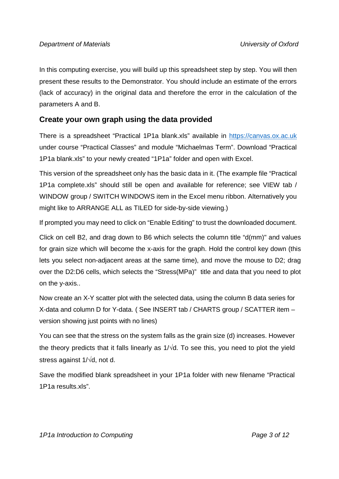In this computing exercise, you will build up this spreadsheet step by step. You will then present these results to the Demonstrator. You should include an estimate of the errors (lack of accuracy) in the original data and therefore the error in the calculation of the parameters A and B.

## **Create your own graph using the data provided**

There is a spreadsheet "Practical 1P1a blank.xls" available in https://canvas.ox.ac.uk under course "Practical Classes" and module "Michaelmas Term". Download "Practical 1P1a blank.xls" to your newly created "1P1a" folder and open with Excel.

This version of the spreadsheet only has the basic data in it. (The example file "Practical 1P1a complete.xls" should still be open and available for reference; see VIEW tab / WINDOW group / SWITCH WINDOWS item in the Excel menu ribbon. Alternatively you might like to ARRANGE ALL as TILED for side-by-side viewing.)

If prompted you may need to click on "Enable Editing" to trust the downloaded document.

Click on cell B2, and drag down to B6 which selects the column title "d(mm)" and values for grain size which will become the x-axis for the graph. Hold the control key down (this lets you select non-adjacent areas at the same time), and move the mouse to D2; drag over the D2:D6 cells, which selects the "Stress(MPa)" title and data that you need to plot on the y-axis..

Now create an X-Y scatter plot with the selected data, using the column B data series for X-data and column D for Y-data. ( See INSERT tab / CHARTS group / SCATTER item – version showing just points with no lines)

You can see that the stress on the system falls as the grain size (d) increases. However the theory predicts that it falls linearly as  $1/\sqrt{d}$ . To see this, you need to plot the yield stress against  $1/\sqrt{d}$ , not d.

Save the modified blank spreadsheet in your 1P1a folder with new filename "Practical 1P1a results.xls".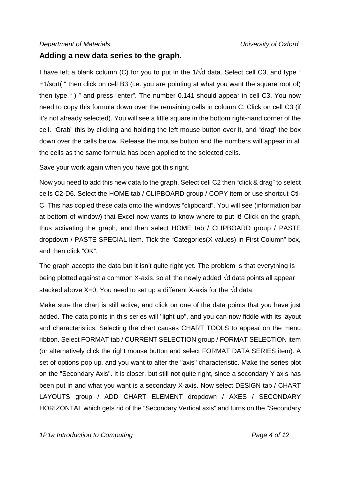### **Adding a new data series to the graph.**

I have left a blank column (C) for you to put in the  $1/\sqrt{d}$  data. Select cell C3, and type " =1/sqrt( " then click on cell B3 (i.e. you are pointing at what you want the square root of) then type " ) " and press "enter". The number 0.141 should appear in cell C3. You now need to copy this formula down over the remaining cells in column C. Click on cell C3 (if it's not already selected). You will see a little square in the bottom right-hand corner of the cell. "Grab" this by clicking and holding the left mouse button over it, and "drag" the box down over the cells below. Release the mouse button and the numbers will appear in all the cells as the same formula has been applied to the selected cells.

Save your work again when you have got this right.

Now you need to add this new data to the graph. Select cell C2 then "click & drag" to select cells C2-D6. Select the HOME tab / CLIPBOARD group / COPY item or use shortcut Ctl-C. This has copied these data onto the windows "clipboard". You will see (information bar at bottom of window) that Excel now wants to know where to put it! Click on the graph, thus activating the graph, and then select HOME tab / CLIPBOARD group / PASTE dropdown / PASTE SPECIAL item. Tick the "Categories(X values) in First Column" box, and then click "OK".

The graph accepts the data but it isn't quite right yet. The problem is that everything is being plotted against a common X-axis, so all the newly added  $\sqrt{d}$  data points all appear stacked above X=0. You need to set up a different X-axis for the  $\sqrt{d}$  data.

Make sure the chart is still active, and click on one of the data points that you have just added. The data points in this series will "light up", and you can now fiddle with its layout and characteristics. Selecting the chart causes CHART TOOLS to appear on the menu ribbon. Select FORMAT tab / CURRENT SELECTION group / FORMAT SELECTION item (or alternatively click the right mouse button and select FORMAT DATA SERIES item). A set of options pop up, and you want to alter the "axis" characteristic. Make the series plot on the "Secondary Axis". It is closer, but still not quite right, since a secondary Y axis has been put in and what you want is a secondary X-axis. Now select DESIGN tab / CHART LAYOUTS group / ADD CHART ELEMENT dropdown / AXES / SECONDARY HORIZONTAL which gets rid of the "Secondary Vertical axis" and turns on the "Secondary

*1P1a Introduction to Computing Page 4 of 12 <i>Page 4 of 12 Page 4 of 12*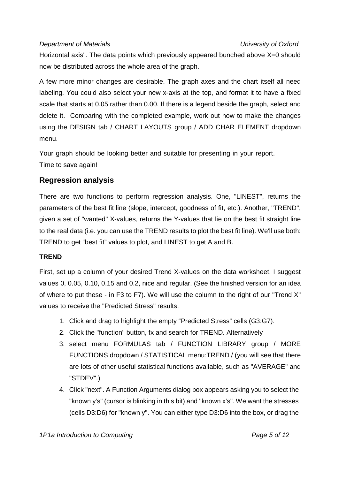Horizontal axis". The data points which previously appeared bunched above X=0 should now be distributed across the whole area of the graph.

A few more minor changes are desirable. The graph axes and the chart itself all need labeling. You could also select your new x-axis at the top, and format it to have a fixed scale that starts at 0.05 rather than 0.00. If there is a legend beside the graph, select and delete it. Comparing with the completed example, work out how to make the changes using the DESIGN tab / CHART LAYOUTS group / ADD CHAR ELEMENT dropdown menu.

Your graph should be looking better and suitable for presenting in your report. Time to save again!

### **Regression analysis**

There are two functions to perform regression analysis. One, "LINEST", returns the parameters of the best fit line (slope, intercept, goodness of fit, etc.). Another, "TREND", given a set of "wanted" X-values, returns the Y-values that lie on the best fit straight line to the real data (i.e. you can use the TREND results to plot the best fit line). We'll use both: TREND to get "best fit" values to plot, and LINEST to get A and B.

### **TREND**

First, set up a column of your desired Trend X-values on the data worksheet. I suggest values 0, 0.05, 0.10, 0.15 and 0.2, nice and regular. (See the finished version for an idea of where to put these - in F3 to F7). We will use the column to the right of our "Trend X" values to receive the "Predicted Stress" results.

- 1. Click and drag to highlight the empty "Predicted Stress" cells (G3:G7).
- 2. Click the "function" button, fx and search for TREND. Alternatively
- 3. select menu FORMULAS tab / FUNCTION LIBRARY group / MORE FUNCTIONS dropdown / STATISTICAL menu:TREND / (you will see that there are lots of other useful statistical functions available, such as "AVERAGE" and "STDEV".)
- 4. Click "next". A Function Arguments dialog box appears asking you to select the "known y's" (cursor is blinking in this bit) and "known x's". We want the stresses (cells D3:D6) for "known y". You can either type D3:D6 into the box, or drag the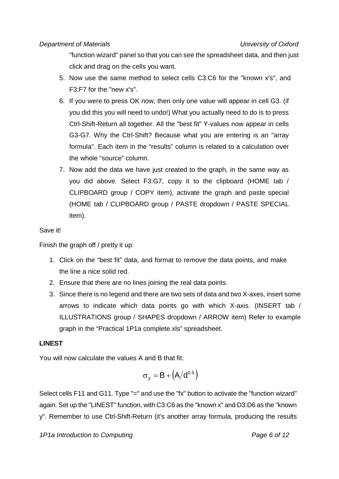"function wizard" panel so that you can see the spreadsheet data, and then just click and drag on the cells you want.

- 5. Now use the same method to select cells C3:C6 for the "known x's", and F3:F7 for the "new x's".
- 6. If you were to press OK now, then only one value will appear in cell G3. (if you did this you will need to undo!) What you actually need to do is to press Ctrl-Shift-Return all together. All the "best fit" Y-values now appear in cells G3-G7. Why the Ctrl-Shift? Because what you are entering is an "array formula". Each item in the "results" column is related to a calculation over the whole "source" column.
- 7. Now add the data we have just created to the graph, in the same way as you did above. Select F3:G7, copy it to the clipboard (HOME tab / CLIPBOARD group / COPY item), activate the graph and paste special (HOME tab / CLIPBOARD group / PASTE dropdown / PASTE SPECIAL item).

### Save it!

Finish the graph off / pretty it up:

- 1. Click on the "best fit" data, and format to remove the data points, and make the line a nice solid red.
- 2. Ensure that there are no lines joining the real data points.
- 3. Since there is no legend and there are two sets of data and two X-axes, insert some arrows to indicate which data points go with which X-axis. (INSERT tab / ILLUSTRATIONS group / SHAPES dropdown / ARROW item) Refer to example graph in the "Practical 1P1a complete.xls" spreadsheet.

### **LINEST**

You will now calculate the values A and B that fit:

$$
\sigma_y = B + \left( A / d^{0.5} \right)
$$

Select cells F11 and G11. Type "=" and use the "fx" button to activate the "function wizard" again. Set up the "LINEST" function, with C3:C6 as the "known x" and D3:D6 as the "known y". Remember to use Ctrl-Shift-Return (it's another array formula, producing the results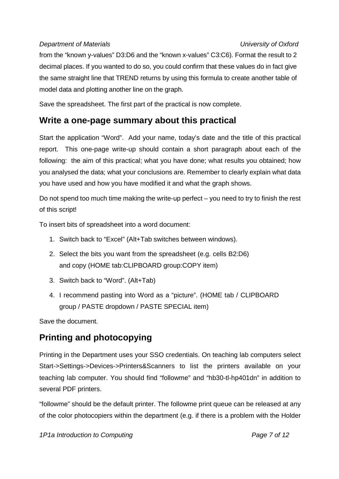from the "known y-values" D3:D6 and the "known x-values" C3:C6). Format the result to 2 decimal places. If you wanted to do so, you could confirm that these values do in fact give the same straight line that TREND returns by using this formula to create another table of model data and plotting another line on the graph.

Save the spreadsheet. The first part of the practical is now complete.

# **Write a one-page summary about this practical**

Start the application "Word". Add your name, today's date and the title of this practical report. This one-page write-up should contain a short paragraph about each of the following: the aim of this practical; what you have done; what results you obtained; how you analysed the data; what your conclusions are. Remember to clearly explain what data you have used and how you have modified it and what the graph shows.

Do not spend too much time making the write-up perfect – you need to try to finish the rest of this script!

To insert bits of spreadsheet into a word document:

- 1. Switch back to "Excel" (Alt+Tab switches between windows).
- 2. Select the bits you want from the spreadsheet (e.g. cells B2:D6) and copy (HOME tab:CLIPBOARD group:COPY item)
- 3. Switch back to "Word". (Alt+Tab)
- 4. I recommend pasting into Word as a "picture". (HOME tab / CLIPBOARD group / PASTE dropdown / PASTE SPECIAL item)

Save the document.

# **Printing and photocopying**

Printing in the Department uses your SSO credentials. On teaching lab computers select Start->Settings->Devices->Printers&Scanners to list the printers available on your teaching lab computer. You should find "followme" and "hb30-tl-hp401dn" in addition to several PDF printers.

"followme" should be the default printer. The followme print queue can be released at any of the color photocopiers within the department (e.g. if there is a problem with the Holder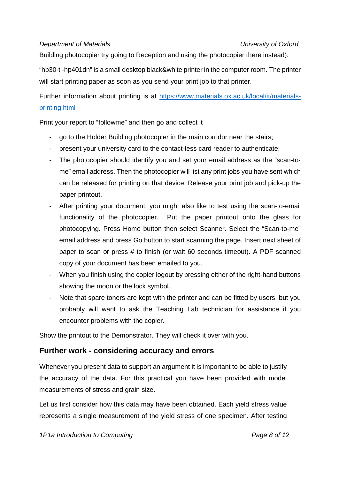Building photocopier try going to Reception and using the photocopier there instead).

"hb30-tl-hp401dn" is a small desktop black&white printer in the computer room. The printer will start printing paper as soon as you send your print job to that printer.

Further information about printing is at https://www.materials.ox.ac.uk/local/it/materialsprinting.html

Print your report to "followme" and then go and collect it

- go to the Holder Building photocopier in the main corridor near the stairs;
- present your university card to the contact-less card reader to authenticate;
- The photocopier should identify you and set your email address as the "scan-tome" email address. Then the photocopier will list any print jobs you have sent which can be released for printing on that device. Release your print job and pick-up the paper printout.
- After printing your document, you might also like to test using the scan-to-email functionality of the photocopier. Put the paper printout onto the glass for photocopying. Press Home button then select Scanner. Select the "Scan-to-me" email address and press Go button to start scanning the page. Insert next sheet of paper to scan or press # to finish (or wait 60 seconds timeout). A PDF scanned copy of your document has been emailed to you.
- When you finish using the copier logout by pressing either of the right-hand buttons showing the moon or the lock symbol.
- Note that spare toners are kept with the printer and can be fitted by users, but you probably will want to ask the Teaching Lab technician for assistance if you encounter problems with the copier.

Show the printout to the Demonstrator. They will check it over with you.

### **Further work - considering accuracy and errors**

Whenever you present data to support an argument it is important to be able to justify the accuracy of the data. For this practical you have been provided with model measurements of stress and grain size.

Let us first consider how this data may have been obtained. Each yield stress value represents a single measurement of the yield stress of one specimen. After testing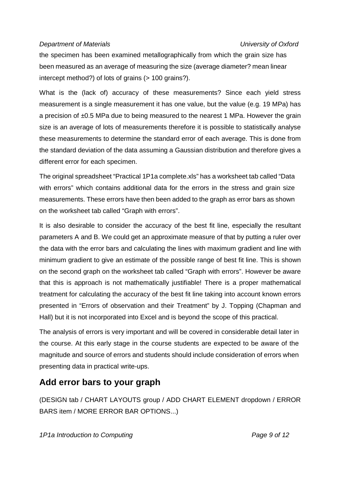the specimen has been examined metallographically from which the grain size has been measured as an average of measuring the size (average diameter? mean linear intercept method?) of lots of grains (> 100 grains?).

What is the (lack of) accuracy of these measurements? Since each yield stress measurement is a single measurement it has one value, but the value (e.g. 19 MPa) has a precision of ±0.5 MPa due to being measured to the nearest 1 MPa. However the grain size is an average of lots of measurements therefore it is possible to statistically analyse these measurements to determine the standard error of each average. This is done from the standard deviation of the data assuming a Gaussian distribution and therefore gives a different error for each specimen.

The original spreadsheet "Practical 1P1a complete.xls" has a worksheet tab called "Data with errors" which contains additional data for the errors in the stress and grain size measurements. These errors have then been added to the graph as error bars as shown on the worksheet tab called "Graph with errors".

It is also desirable to consider the accuracy of the best fit line, especially the resultant parameters A and B. We could get an approximate measure of that by putting a ruler over the data with the error bars and calculating the lines with maximum gradient and line with minimum gradient to give an estimate of the possible range of best fit line. This is shown on the second graph on the worksheet tab called "Graph with errors". However be aware that this is approach is not mathematically justifiable! There is a proper mathematical treatment for calculating the accuracy of the best fit line taking into account known errors presented in "Errors of observation and their Treatment" by J. Topping (Chapman and Hall) but it is not incorporated into Excel and is beyond the scope of this practical.

The analysis of errors is very important and will be covered in considerable detail later in the course. At this early stage in the course students are expected to be aware of the magnitude and source of errors and students should include consideration of errors when presenting data in practical write-ups.

# **Add error bars to your graph**

(DESIGN tab / CHART LAYOUTS group / ADD CHART ELEMENT dropdown / ERROR BARS item / MORE ERROR BAR OPTIONS...)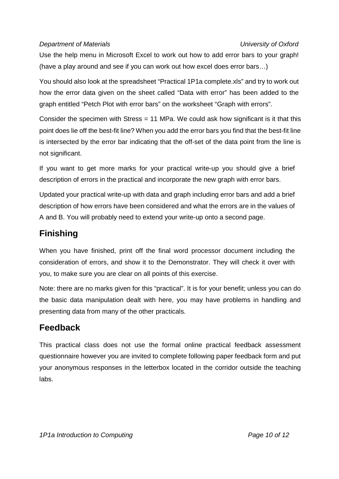Use the help menu in Microsoft Excel to work out how to add error bars to your graph! (have a play around and see if you can work out how excel does error bars…)

You should also look at the spreadsheet "Practical 1P1a complete.xls" and try to work out how the error data given on the sheet called "Data with error" has been added to the graph entitled "Petch Plot with error bars" on the worksheet "Graph with errors".

Consider the specimen with Stress = 11 MPa. We could ask how significant is it that this point does lie off the best-fit line? When you add the error bars you find that the best-fit line is intersected by the error bar indicating that the off-set of the data point from the line is not significant.

If you want to get more marks for your practical write-up you should give a brief description of errors in the practical and incorporate the new graph with error bars.

Updated your practical write-up with data and graph including error bars and add a brief description of how errors have been considered and what the errors are in the values of A and B. You will probably need to extend your write-up onto a second page.

# **Finishing**

When you have finished, print off the final word processor document including the consideration of errors, and show it to the Demonstrator. They will check it over with you, to make sure you are clear on all points of this exercise.

Note: there are no marks given for this "practical". It is for your benefit; unless you can do the basic data manipulation dealt with here, you may have problems in handling and presenting data from many of the other practicals.

# **Feedback**

This practical class does not use the formal online practical feedback assessment questionnaire however you are invited to complete following paper feedback form and put your anonymous responses in the letterbox located in the corridor outside the teaching labs.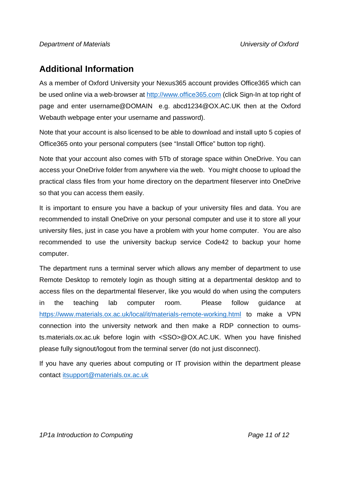# **Additional Information**

As a member of Oxford University your Nexus365 account provides Office365 which can be used online via a web-browser at http://www.office365.com (click Sign-In at top right of page and enter username@DOMAIN e.g. abcd1234@OX.AC.UK then at the Oxford Webauth webpage enter your username and password).

Note that your account is also licensed to be able to download and install upto 5 copies of Office365 onto your personal computers (see "Install Office" button top right).

Note that your account also comes with 5Tb of storage space within OneDrive. You can access your OneDrive folder from anywhere via the web. You might choose to upload the practical class files from your home directory on the department fileserver into OneDrive so that you can access them easily.

It is important to ensure you have a backup of your university files and data. You are recommended to install OneDrive on your personal computer and use it to store all your university files, just in case you have a problem with your home computer. You are also recommended to use the university backup service Code42 to backup your home computer.

The department runs a terminal server which allows any member of department to use Remote Desktop to remotely login as though sitting at a departmental desktop and to access files on the departmental fileserver, like you would do when using the computers in the teaching lab computer room. Please follow guidance at https://www.materials.ox.ac.uk/local/it/materials-remote-working.html to make a VPN connection into the university network and then make a RDP connection to oumsts.materials.ox.ac.uk before login with <SSO>@OX.AC.UK. When you have finished please fully signout/logout from the terminal server (do not just disconnect).

If you have any queries about computing or IT provision within the department please contact itsupport@materials.ox.ac.uk